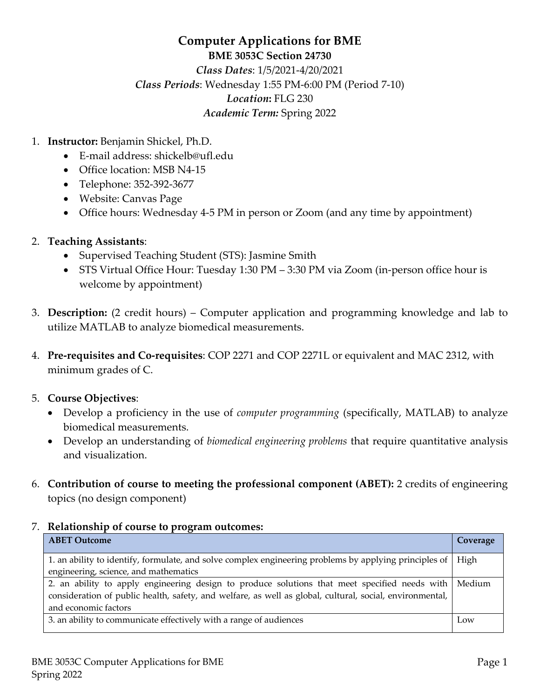# **Computer Applications for BME BME 3053C Section 24730** *Class Dates*: 1/5/2021-4/20/2021 *Class Periods*: Wednesday 1:55 PM-6:00 PM (Period 7-10) *Location***:** FLG 230 *Academic Term:* Spring 2022

- 1. **Instructor:** Benjamin Shickel, Ph.D.
	- E-mail address: shickelb@ufl.edu
	- Office location: MSB N4-15
	- Telephone: 352-392-3677
	- Website: Canvas Page
	- Office hours: Wednesday 4-5 PM in person or Zoom (and any time by appointment)

#### 2. **Teaching Assistants**:

- Supervised Teaching Student (STS): Jasmine Smith
- STS Virtual Office Hour: Tuesday 1:30 PM 3:30 PM via Zoom (in-person office hour is welcome by appointment)
- 3. **Description:** (2 credit hours) Computer application and programming knowledge and lab to utilize MATLAB to analyze biomedical measurements.
- 4. **Pre-requisites and Co-requisites**: COP 2271 and COP 2271L or equivalent and MAC 2312, with minimum grades of C.

#### 5. **Course Objectives**:

- Develop a proficiency in the use of *computer programming* (specifically, MATLAB) to analyze biomedical measurements.
- Develop an understanding of *biomedical engineering problems* that require quantitative analysis and visualization.
- 6. **Contribution of course to meeting the professional component (ABET):** 2 credits of engineering topics (no design component)

#### 7. **Relationship of course to program outcomes:**

| <b>ABET Outcome</b>                                                                                      | Coverage |
|----------------------------------------------------------------------------------------------------------|----------|
| 1. an ability to identify, formulate, and solve complex engineering problems by applying principles of   | High     |
| engineering, science, and mathematics                                                                    |          |
| 2. an ability to apply engineering design to produce solutions that meet specified needs with            | Medium   |
| consideration of public health, safety, and welfare, as well as global, cultural, social, environmental, |          |
| and economic factors                                                                                     |          |
| 3. an ability to communicate effectively with a range of audiences                                       | Low      |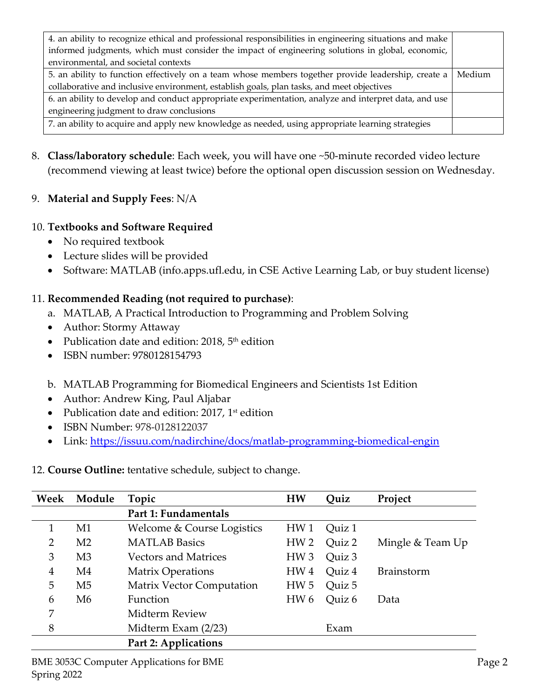| 4. an ability to recognize ethical and professional responsibilities in engineering situations and make |        |  |
|---------------------------------------------------------------------------------------------------------|--------|--|
| informed judgments, which must consider the impact of engineering solutions in global, economic,        |        |  |
| environmental, and societal contexts                                                                    |        |  |
| 5. an ability to function effectively on a team whose members together provide leadership, create a     |        |  |
| collaborative and inclusive environment, establish goals, plan tasks, and meet objectives               |        |  |
| 6. an ability to develop and conduct appropriate experimentation, analyze and interpret data, and use   |        |  |
| engineering judgment to draw conclusions                                                                |        |  |
| 7. an ability to acquire and apply new knowledge as needed, using appropriate learning strategies       |        |  |
|                                                                                                         | Medium |  |

8. **Class/laboratory schedule**: Each week, you will have one ~50-minute recorded video lecture (recommend viewing at least twice) before the optional open discussion session on Wednesday.

# 9. **Material and Supply Fees**: N/A

# 10. **Textbooks and Software Required**

- No required textbook
- Lecture slides will be provided
- Software: MATLAB (info.apps.ufl.edu, in CSE Active Learning Lab, or buy student license)

#### 11. **Recommended Reading (not required to purchase)**:

- a. MATLAB, A Practical Introduction to Programming and Problem Solving
- Author: Stormy Attaway
- Publication date and edition:  $2018$ ,  $5<sup>th</sup>$  edition
- ISBN number: 9780128154793
- b. MATLAB Programming for Biomedical Engineers and Scientists 1st Edition
- Author: Andrew King, Paul Aljabar
- Publication date and edition:  $2017$ ,  $1st$  edition
- ISBN Number: 978-0128122037
- Link: https://issuu.com/nadirchine/docs/matlab-programming-biomedical-engin

#### 12. **Course Outline:** tentative schedule, subject to change.

| Week           | Module         | Topic                            | <b>HW</b>       | Quiz   | Project           |
|----------------|----------------|----------------------------------|-----------------|--------|-------------------|
|                |                | Part 1: Fundamentals             |                 |        |                   |
|                | M1             | Welcome & Course Logistics       | HW <sub>1</sub> | Quiz 1 |                   |
| $\overline{2}$ | M <sub>2</sub> | <b>MATLAB</b> Basics             | HW <sub>2</sub> | Quiz 2 | Mingle & Team Up  |
| 3              | M <sub>3</sub> | <b>Vectors and Matrices</b>      | HW <sub>3</sub> | Quiz 3 |                   |
| 4              | M <sub>4</sub> | <b>Matrix Operations</b>         | HW <sub>4</sub> | Quiz 4 | <b>Brainstorm</b> |
| 5              | M <sub>5</sub> | <b>Matrix Vector Computation</b> | HW <sub>5</sub> | Quiz 5 |                   |
| 6              | M6             | Function                         | HW <sub>6</sub> | Quiz 6 | Data              |
| 7              |                | Midterm Review                   |                 |        |                   |
| 8              |                | Midterm Exam (2/23)              |                 | Exam   |                   |
|                |                | Part 2: Applications             |                 |        |                   |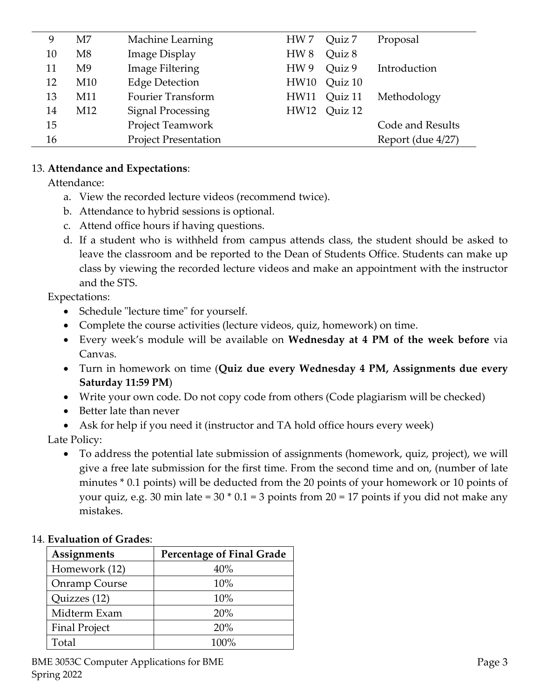| 9  | M7              | Machine Learning            | HW 7            | Quiz 7  | Proposal          |
|----|-----------------|-----------------------------|-----------------|---------|-------------------|
| 10 | M8              | <b>Image Display</b>        | HW <sub>8</sub> | Quiz 8  |                   |
| 11 | M9              | Image Filtering             | HW 9            | Quiz 9  | Introduction      |
| 12 | M10             | <b>Edge Detection</b>       | HW10            | Quiz 10 |                   |
| 13 | M11             | <b>Fourier Transform</b>    | HW11            | Quiz 11 | Methodology       |
| 14 | M <sub>12</sub> | <b>Signal Processing</b>    | HW12            | Ouiz 12 |                   |
| 15 |                 | Project Teamwork            |                 |         | Code and Results  |
| 16 |                 | <b>Project Presentation</b> |                 |         | Report (due 4/27) |
|    |                 |                             |                 |         |                   |

#### 13. **Attendance and Expectations**:

Attendance:

- a. View the recorded lecture videos (recommend twice).
- b. Attendance to hybrid sessions is optional.
- c. Attend office hours if having questions.
- d. If a student who is withheld from campus attends class, the student should be asked to leave the classroom and be reported to the Dean of Students Office. Students can make up class by viewing the recorded lecture videos and make an appointment with the instructor and the STS.

Expectations:

- Schedule "lecture time" for yourself.
- Complete the course activities (lecture videos, quiz, homework) on time.
- Every week's module will be available on **Wednesday at 4 PM of the week before** via Canvas.
- Turn in homework on time (**Quiz due every Wednesday 4 PM, Assignments due every Saturday 11:59 PM**)
- Write your own code. Do not copy code from others (Code plagiarism will be checked)
- Better late than never
- Ask for help if you need it (instructor and TA hold office hours every week)

Late Policy:

• To address the potential late submission of assignments (homework, quiz, project), we will give a free late submission for the first time. From the second time and on, (number of late minutes \* 0.1 points) will be deducted from the 20 points of your homework or 10 points of your quiz, e.g. 30 min late =  $30 * 0.1 = 3$  points from  $20 = 17$  points if you did not make any mistakes.

# 14. **Evaluation of Grades**:

| Assignments          | <b>Percentage of Final Grade</b> |
|----------------------|----------------------------------|
| Homework (12)        | 40%                              |
| Onramp Course        | 10%                              |
| Quizzes (12)         | 10%                              |
| Midterm Exam         | 20%                              |
| <b>Final Project</b> | 20%                              |
| Total                | $100\%$                          |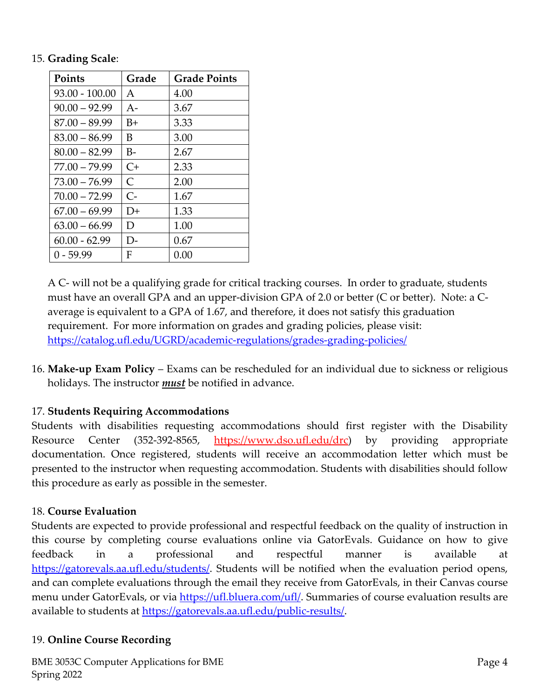#### 15. **Grading Scale**:

| <b>Points</b>    | Grade        | <b>Grade Points</b> |
|------------------|--------------|---------------------|
| $93.00 - 100.00$ | A            | 4.00                |
| $90.00 - 92.99$  | $A-$         | 3.67                |
| $87.00 - 89.99$  | B+           | 3.33                |
| $83.00 - 86.99$  | B            | 3.00                |
| $80.00 - 82.99$  | B-           | 2.67                |
| $77.00 - 79.99$  | C+           | 2.33                |
| $73.00 - 76.99$  | $\mathsf{C}$ | 2.00                |
| $70.00 - 72.99$  | $C-$         | 1.67                |
| $67.00 - 69.99$  | $D+$         | 1.33                |
| $63.00 - 66.99$  | D            | 1.00                |
| $60.00 - 62.99$  | D-           | 0.67                |
| $0 - 59.99$      | F            | 0.00                |

A C- will not be a qualifying grade for critical tracking courses. In order to graduate, students must have an overall GPA and an upper-division GPA of 2.0 or better (C or better). Note: a Caverage is equivalent to a GPA of 1.67, and therefore, it does not satisfy this graduation requirement. For more information on grades and grading policies, please visit: https://catalog.ufl.edu/UGRD/academic-regulations/grades-grading-policies/

16. **Make-up Exam Policy** – Exams can be rescheduled for an individual due to sickness or religious holidays. The instructor *must* be notified in advance.

# 17. **Students Requiring Accommodations**

Students with disabilities requesting accommodations should first register with the Disability Resource Center (352-392-8565, https://www.dso.ufl.edu/drc) by providing appropriate documentation. Once registered, students will receive an accommodation letter which must be presented to the instructor when requesting accommodation. Students with disabilities should follow this procedure as early as possible in the semester.

# 18. **Course Evaluation**

Students are expected to provide professional and respectful feedback on the quality of instruction in this course by completing course evaluations online via GatorEvals. Guidance on how to give feedback in a professional and respectful manner is available at https://gatorevals.aa.ufl.edu/students/. Students will be notified when the evaluation period opens, and can complete evaluations through the email they receive from GatorEvals, in their Canvas course menu under GatorEvals, or via https://ufl.bluera.com/ufl/. Summaries of course evaluation results are available to students at https://gatorevals.aa.ufl.edu/public-results/.

# 19. **Online Course Recording**

BME 3053C Computer Applications for BME Spring 2022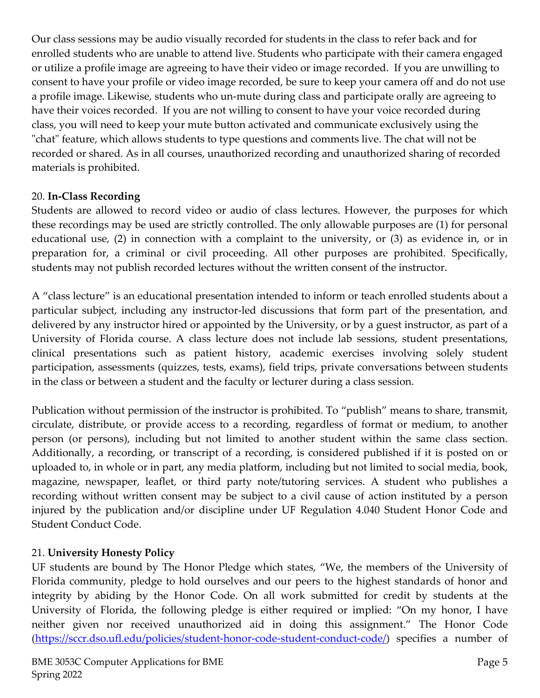Our class sessions may be audio visually recorded for students in the class to refer back and for enrolled students who are unable to attend live. Students who participate with their camera engaged or utilize a profile image are agreeing to have their video or image recorded. If you are unwilling to consent to have your profile or video image recorded, be sure to keep your camera off and do not use a profile image. Likewise, students who un-mute during class and participate orally are agreeing to have their voices recorded. If you are not willing to consent to have your voice recorded during class, you will need to keep your mute button activated and communicate exclusively using the "chat" feature, which allows students to type questions and comments live. The chat will not be recorded or shared. As in all courses, unauthorized recording and unauthorized sharing of recorded materials is prohibited.

# 20. **In-Class Recording**

Students are allowed to record video or audio of class lectures. However, the purposes for which these recordings may be used are strictly controlled. The only allowable purposes are (1) for personal educational use, (2) in connection with a complaint to the university, or (3) as evidence in, or in preparation for, a criminal or civil proceeding. All other purposes are prohibited. Specifically, students may not publish recorded lectures without the written consent of the instructor.

A "class lecture" is an educational presentation intended to inform or teach enrolled students about a particular subject, including any instructor-led discussions that form part of the presentation, and delivered by any instructor hired or appointed by the University, or by a guest instructor, as part of a University of Florida course. A class lecture does not include lab sessions, student presentations, clinical presentations such as patient history, academic exercises involving solely student participation, assessments (quizzes, tests, exams), field trips, private conversations between students in the class or between a student and the faculty or lecturer during a class session.

Publication without permission of the instructor is prohibited. To "publish" means to share, transmit, circulate, distribute, or provide access to a recording, regardless of format or medium, to another person (or persons), including but not limited to another student within the same class section. Additionally, a recording, or transcript of a recording, is considered published if it is posted on or uploaded to, in whole or in part, any media platform, including but not limited to social media, book, magazine, newspaper, leaflet, or third party note/tutoring services. A student who publishes a recording without written consent may be subject to a civil cause of action instituted by a person injured by the publication and/or discipline under UF Regulation 4.040 Student Honor Code and Student Conduct Code.

# 21. **University Honesty Policy**

UF students are bound by The Honor Pledge which states, "We, the members of the University of Florida community, pledge to hold ourselves and our peers to the highest standards of honor and integrity by abiding by the Honor Code. On all work submitted for credit by students at the University of Florida, the following pledge is either required or implied: "On my honor, I have neither given nor received unauthorized aid in doing this assignment." The Honor Code (https://sccr.dso.ufl.edu/policies/student-honor-code-student-conduct-code/) specifies a number of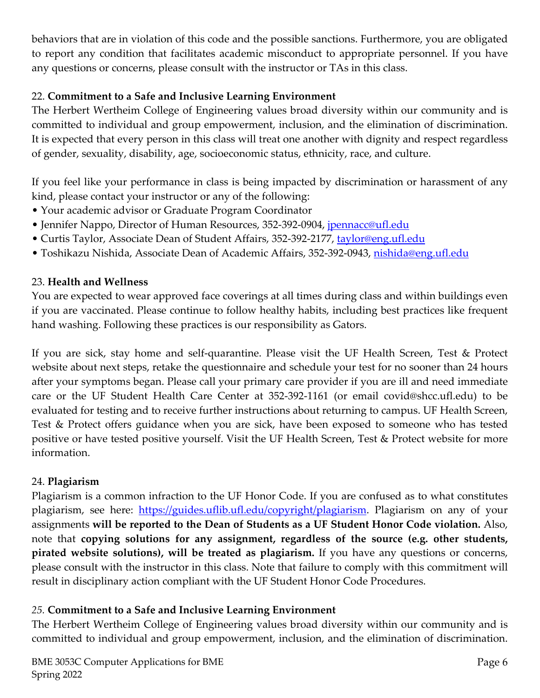behaviors that are in violation of this code and the possible sanctions. Furthermore, you are obligated to report any condition that facilitates academic misconduct to appropriate personnel. If you have any questions or concerns, please consult with the instructor or TAs in this class.

# 22. **Commitment to a Safe and Inclusive Learning Environment**

The Herbert Wertheim College of Engineering values broad diversity within our community and is committed to individual and group empowerment, inclusion, and the elimination of discrimination. It is expected that every person in this class will treat one another with dignity and respect regardless of gender, sexuality, disability, age, socioeconomic status, ethnicity, race, and culture.

If you feel like your performance in class is being impacted by discrimination or harassment of any kind, please contact your instructor or any of the following:

- Your academic advisor or Graduate Program Coordinator
- Jennifer Nappo, Director of Human Resources, 352-392-0904, jpennacc@ufl.edu
- Curtis Taylor, Associate Dean of Student Affairs, 352-392-2177, taylor@eng.ufl.edu
- Toshikazu Nishida, Associate Dean of Academic Affairs, 352-392-0943, nishida@eng.ufl.edu

# 23. **Health and Wellness**

You are expected to wear approved face coverings at all times during class and within buildings even if you are vaccinated. Please continue to follow healthy habits, including best practices like frequent hand washing. Following these practices is our responsibility as Gators.

If you are sick, stay home and self-quarantine. Please visit the UF Health Screen, Test & Protect website about next steps, retake the questionnaire and schedule your test for no sooner than 24 hours after your symptoms began. Please call your primary care provider if you are ill and need immediate care or the UF Student Health Care Center at 352-392-1161 (or email covid@shcc.ufl.edu) to be evaluated for testing and to receive further instructions about returning to campus. UF Health Screen, Test & Protect offers guidance when you are sick, have been exposed to someone who has tested positive or have tested positive yourself. Visit the UF Health Screen, Test & Protect website for more information.

# 24. **Plagiarism**

Plagiarism is a common infraction to the UF Honor Code. If you are confused as to what constitutes plagiarism, see here: https://guides.uflib.ufl.edu/copyright/plagiarism. Plagiarism on any of your assignments **will be reported to the Dean of Students as a UF Student Honor Code violation.** Also, note that **copying solutions for any assignment, regardless of the source (e.g. other students, pirated website solutions), will be treated as plagiarism.** If you have any questions or concerns, please consult with the instructor in this class. Note that failure to comply with this commitment will result in disciplinary action compliant with the UF Student Honor Code Procedures.

# *25.* **Commitment to a Safe and Inclusive Learning Environment**

The Herbert Wertheim College of Engineering values broad diversity within our community and is committed to individual and group empowerment, inclusion, and the elimination of discrimination.

BME 3053C Computer Applications for BME Spring 2022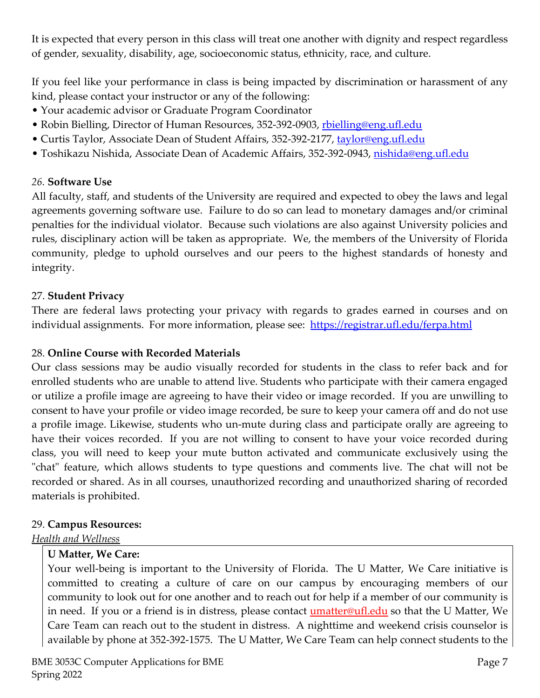It is expected that every person in this class will treat one another with dignity and respect regardless of gender, sexuality, disability, age, socioeconomic status, ethnicity, race, and culture.

If you feel like your performance in class is being impacted by discrimination or harassment of any kind, please contact your instructor or any of the following:

- Your academic advisor or Graduate Program Coordinator
- Robin Bielling, Director of Human Resources, 352-392-0903, rbielling@eng.ufl.edu
- Curtis Taylor, Associate Dean of Student Affairs, 352-392-2177, taylor@eng.ufl.edu
- Toshikazu Nishida, Associate Dean of Academic Affairs, 352-392-0943, nishida@eng.ufl.edu

#### *26.* **Software Use**

All faculty, staff, and students of the University are required and expected to obey the laws and legal agreements governing software use. Failure to do so can lead to monetary damages and/or criminal penalties for the individual violator. Because such violations are also against University policies and rules, disciplinary action will be taken as appropriate. We, the members of the University of Florida community, pledge to uphold ourselves and our peers to the highest standards of honesty and integrity.

#### 27. **Student Privacy**

There are federal laws protecting your privacy with regards to grades earned in courses and on individual assignments. For more information, please see: https://registrar.ufl.edu/ferpa.html

#### 28. **Online Course with Recorded Materials**

Our class sessions may be audio visually recorded for students in the class to refer back and for enrolled students who are unable to attend live. Students who participate with their camera engaged or utilize a profile image are agreeing to have their video or image recorded. If you are unwilling to consent to have your profile or video image recorded, be sure to keep your camera off and do not use a profile image. Likewise, students who un-mute during class and participate orally are agreeing to have their voices recorded. If you are not willing to consent to have your voice recorded during class, you will need to keep your mute button activated and communicate exclusively using the "chat" feature, which allows students to type questions and comments live. The chat will not be recorded or shared. As in all courses, unauthorized recording and unauthorized sharing of recorded materials is prohibited.

#### 29. **Campus Resources:**

*Health and Wellness* 

# **U Matter, We Care:**

Your well-being is important to the University of Florida. The U Matter, We Care initiative is committed to creating a culture of care on our campus by encouraging members of our community to look out for one another and to reach out for help if a member of our community is in need. If you or a friend is in distress, please contact **umatter@ufl.edu** so that the U Matter, We Care Team can reach out to the student in distress. A nighttime and weekend crisis counselor is available by phone at 352-392-1575. The U Matter, We Care Team can help connect students to the